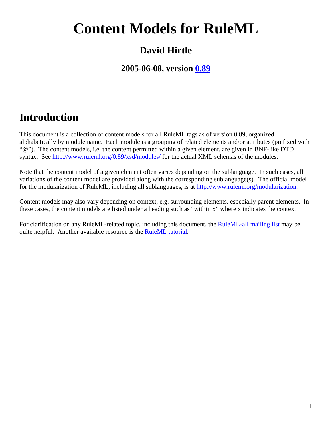# **Content Models for RuleML**

# **David Hirtle**

### **2005-06-08, version [0.89](http://www.ruleml.org/0.89/)**

# **Introduction**

This document is a collection of content models for all RuleML tags as of version 0.89, organized alphabetically by module name. Each module is a grouping of related elements and/or attributes (prefixed with "@"). The content models, i.e. the content permitted within a given element, are given in BNF-like DTD syntax. See <http://www.ruleml.org/0.89/xsd/modules/> for the actual XML schemas of the modules.

Note that the content model of a given element often varies depending on the sublanguage. In such cases, all variations of the content model are provided along with the corresponding sublanguage(s). The official model for the modularization of RuleML, including all sublanguages, is at [http://www.ruleml.org/modularization.](http://www.ruleml.org/modularization)

Content models may also vary depending on context, e.g. surrounding elements, especially parent elements. In these cases, the content models are listed under a heading such as "within x" where x indicates the context.

For clarification on any RuleML-related topic, including this document, the [RuleML-all mailing list](http://mail.ruleml.org/mailman/listinfo/ruleml-all) may be quite helpful. Another available resource is the [RuleML tutorial](http://www.ruleml.org/papers/tutorial-ruleml.html).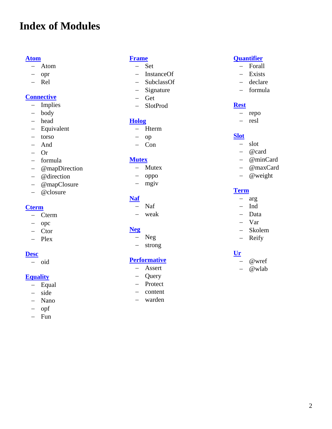# **Index of Modules**

#### **[Atom](#page-2-0)**

- − Atom
- − opr
- − Rel

#### **[Connective](#page-3-0)**

- − Implies
- − body
- − head
- − Equivalent
- − torso
- − And
- − Or
- − formula
- − @mapDirection
- − @direction
- − @mapClosure
- − @closure

#### **[Cterm](#page-8-0)**

- − Cterm
- − opc
- − Ctor
- − Plex

#### **[Desc](#page-9-0)**

− oid

#### **[Equality](#page-10-0)**

- − Equal
- − side
- − Nano
- − opf
- − Fun

#### **[Frame](#page-11-0)**

- − Set
- − InstanceOf
- − SubclassOf
- − Signature
- − Get
- − SlotProd

#### **[Holog](#page-12-0)**

- − Hterm
- − op
- − Con

#### **[Mutex](#page-13-0)**

- − Mutex
- − oppo
- − mgiv

#### **[Naf](#page-14-0)**

- − Naf
- − weak

#### **[Neg](#page-15-0)**

- − Neg
- − strong

#### **[Performative](#page-16-0)**

- − Assert
- − Query
- − Protect
- − content
- − warden

#### **[Quantifier](#page-18-0)**

- − Forall
- − Exists
- − declare
- − formula

#### **[Rest](#page-19-0)**

- − repo
- − resl

#### **[Slot](#page-20-0)**

- − slot
- − @card
- − @minCard
- − @maxCard
- − @weight

#### **[Term](#page-21-0)**

- − arg
- − Ind
- − Data
- − Var
- − Skolem
- − Reify

#### **[Ur](#page-22-0)**

- − @wref
- − @wlab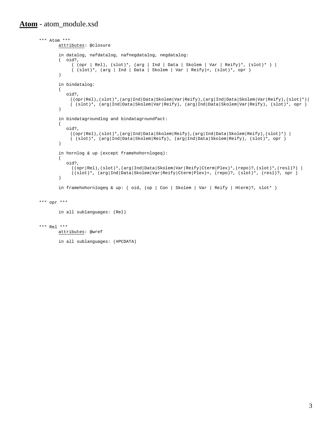#### <span id="page-2-0"></span>**Atom** - atom\_module.xsd

```
*** Atom *** 
                  attributes: @closure 
                    in datalog, nafdatalog, nafnegdatalog, negdatalog: 
                    ( oid?, 
 ( (opr | Rel), (slot)*, (arg | Ind | Data | Skolem | Var | Reify)*, (slot)* ) | 
 ( (slot)*, (arg | Ind | Data | Skolem | Var | Reify)+, (slot)*, opr ) 
 ) 
                    in bindatalog: 
\overline{\phantom{a}} oid?, 
                          ((opr|Rel),(slot)*,(arg|Ind|Data|Skolem|Var|Reify),(arg|Ind|Data|Skolem|Var|Reify),(slot)*)| 
                          ( (slot)*, (arg|Ind|Data|Skolem|Var|Reify), (arg|Ind|Data|Skolem|Var|Reify), (slot)*, opr ) 
 ) 
                    in bindatagroundlog and bindatagroundfact: 
\sim (b) and (b) and (b) and (b) and (b) and (b) and (b) and (b) and (b) and (b) and (b) and (b) and (b) and (b) and (b) and (b) and (b) and (b) and (b) and (b) and (b) and (b) and (b) and (b) and (b) and (b) and (b) and 
                        oid?, 
                          ((opr|Rel),(slot)*,(arg|Ind|Data|Skolem|Reify),(arg|Ind|Data|Skolem|Reify),(slot)*) | 
                          ( (slot)*, (arg|Ind|Data|Skolem|Reify), (arg|Ind|Data|Skolem|Reify), (slot)*, opr ) 
 ) 
                   in hornlog & up (except framehohornlogeq): 
\sim (b) and (b) and (b) and (b) and (b) and (b) and (b) and (b) and (b) and (b) and (b) and (b) and (b) and (b) and (b) and (b) and (b) and (b) and (b) and (b) and (b) and (b) and (b) and (b) and (b) and (b) and (b) and 
                       oid?, 
                          ((opr|Rel),(slot)*,(arg|Ind|Data|Skolem|Var|Reify|Cterm|Plex)*,(repo)?,(slot)*,(resl)?) | 
                    ((slot)*, (arg|Ind|Data|Skolem|Var|Reify|Cterm|Plex)+, (repo)?, (slot)*, (resl)?, opr ) 
 ) 
                    in framehohornlogeq & up: ( oid, (op | Con | Skolem | Var | Reify | Hterm)?, slot* ) 
          *** opr *** 
                   in all sublanguages: (Rel) 
          *** Rel *** 
                  attributes: @wref 
                    in all sublanguages: (#PCDATA)
```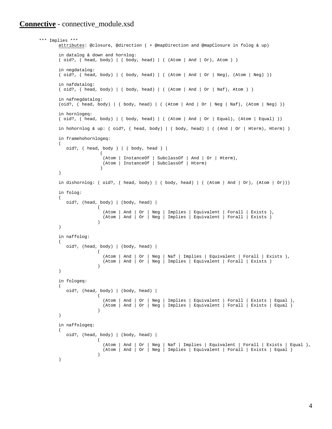#### <span id="page-3-0"></span>**Connective** - connective\_module.xsd

```
 *** Implies *** 
                 attributes: @closure, @direction ( + @mapDirection and @mapClosure in folog & up) 
                  in datalog & down and hornlog: 
                 ( oid?, ( head, body) | ( body, head) | ( (Atom | And | Or), Atom ) ) 
                  in negdatalog: 
                  ( oid?, ( head, body) | ( body, head) | ( (Atom | And | Or | Neg), (Atom | Neg) )) 
                  in nafdatalog: 
                  ( oid?, ( head, body) | ( body, head) | ( (Atom | And | Or | Naf), Atom ) ) 
                  in nafnegdatalog: 
                 (oid?, ( head, body) | ( body, head) | ( (Atom | And | Or | Neg | Naf), (Atom | Neg) )) 
                  in hornlogeq: 
                 ( oid?, ( head, body) | ( body, head) | ( (Atom | And | Or | Equal), (Atom | Equal) )) 
                  in hohornlog & up: ( oid?, ( head, body) | ( body, head) | ( (And | Or | Hterm), Hterm) ) 
                  in framehohornlogeq: 
\overline{\phantom{a}}oid?, ( head, body ) | ( body, head ) |
\overline{a} (Atom | InstanceOf | SubclassOf | And | Or | Hterm), 
 (Atom | InstanceOf | SubclassOf | Hterm) 
) and the contract of \mathcal{L} ) 
                  in dishornlog: ( oid?, ( head, body ) | ( body, head) | ( (Atom | And | or), (Atom | or)))
                 in folog: 
\overline{\phantom{a}} oid?, (head, body) | (body, head) | 
                                    ( 
                                       (Atom | And | Or | Neg | Implies | Equivalent | Forall | Exists ), 
                                       (Atom | And | Or | Neg | Implies | Equivalent | Forall | Exists ) 
                                    ) 
                 ) 
                  in naffolog: 
\sim (b) and (b) and (b) and (b) and (b) and (b) and (b) and (b) and (b) and (b) and (b) and (b) and (b) and (b) and (b) and (b) and (b) and (b) and (b) and (b) and (b) and (b) and (b) and (b) and (b) and (b) and (b) and 
                      oid?, (head, body) | (body, head) | 
                                    \left( (Atom | And | Or | Neg | Naf | Implies | Equivalent | Forall | Exists ), 
                                       (Atom | And | Or | Neg | Implies | Equivalent | Forall | Exists ) 
                                    ) 
                  ) 
                  in fologeq: 
\overline{\phantom{a}} oid?, (head, body) | (body, head) | 
                                    ( 
                                     (Atom | And | Or | Neg | Implies | Equivalent | Forall | Exists | Equal ), 
                                     (Atom | And | Or | Neg | Implies | Equivalent | Forall | Exists | Equal ) 
                                    ) 
                 ) 
                  in naffologeq: 
\sim (b) and (b) and (b) and (b) and (b) and (b) and (b) and (b) and (b) and (b) and (b) and (b) and (b) and (b) and (b) and (b) and (b) and (b) and (b) and (b) and (b) and (b) and (b) and (b) and (b) and (b) and (b) and 
                      oid?, (head, body) | (body, head) | 
                                    ( 
                                       (Atom | And | Or | Neg | Naf | Implies | Equivalent | Forall | Exists | Equal ), 
                                       (Atom | And | Or | Neg | Implies | Equivalent | Forall | Exists | Equal ) 
                                    \lambda\lambda
```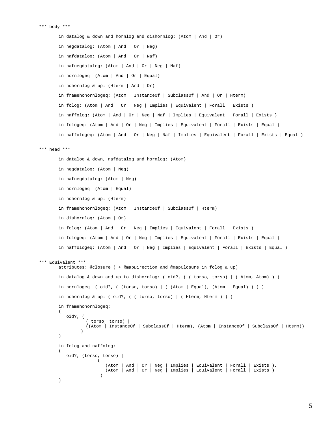```
*** body ***
```
 $\lambda$ 

```
 in datalog & down and hornlog and dishornlog: (Atom | And | Or) 
       in negdatalog: (Atom | And | Or | Neg) 
         in nafdatalog: (Atom | And | Or | Naf) 
         in nafnegdatalog: (Atom | And | Or | Neg | Naf) 
         in hornlogeq: (Atom | And | Or | Equal) 
         in hohornlog & up: (Hterm | And | Or) 
         in framehohornlogeq: (Atom | InstanceOf | SubclassOf | And | Or | Hterm) 
         in folog: (Atom | And | Or | Neg | Implies | Equivalent | Forall | Exists ) 
        in naffolog: (Atom | And | Or | Neg | Naf | Implies | Equivalent | Forall | Exists ) 
         in fologeq: (Atom | And | Or | Neg | Implies | Equivalent | Forall | Exists | Equal ) 
         in naffologeq: (Atom | And | Or | Neg | Naf | Implies | Equivalent | Forall | Exists | Equal ) 
 *** head *** 
        in datalog & down, nafdatalog and hornlog: (Atom) 
        in negdatalog: (Atom | Neg) 
        in nafnegdatalog: (Atom | Neg) 
        in hornlogeq: (Atom | Equal) 
        in hohornlog & up: (Hterm) 
        in framehohornlogeq: (Atom | InstanceOf | SubclassOf | Hterm) 
        in dishornlog: (Atom | Or) 
        in folog: (Atom | And | Or | Neg | Implies | Equivalent | Forall | Exists ) 
        in fologeq: (Atom | And | Or | Neg | Implies | Equivalent | Forall | Exists | Equal ) 
        in naffologeq: (Atom | And | Or | Neg | Implies | Equivalent | Forall | Exists | Equal ) 
 *** Equivalent *** 
       attributes: @closure ( + @mapDirection and @mapClosure in folog & up) 
        in datalog & down and up to dishornlog: ( oid?, ( ( torso, torso) | ( Atom, Atom) ) ) 
       in hornlogeq: ( oid?, ( (torso, torso) | ( (Atom | Equal), (Atom | Equal) ) ) )
       in hohornlog & up: ( oid?, ( ( torso, torso) | ( Hterm, Hterm ) ) ) 
       in framehohornlogeq: 
        \left( oid?, ( 
                    ( torso, torso) | 
                   ((Atom | InstanceOf | SubclassOf | Hterm), (Atom | InstanceOf | SubclassOf | Hterm)) 
         ) 
        \lambda in folog and naffolog: 
        ( 
           oid?, (torso, torso) | 
                        ( 
                            (Atom | And | Or | Neg | Implies | Equivalent | Forall | Exists ), 
                           (Atom | And | Or | Neg | Implies | Equivalent | Forall | Exists ) 
                         \lambda
```

```
5
```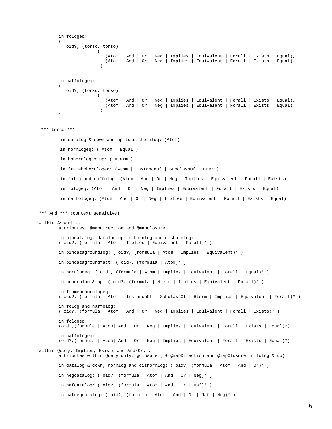```
in fologeq: 
        ( 
           oid?, (torso, torso) | 
                       ( 
                           (Atom | And | Or | Neg | Implies | Equivalent | Forall | Exists | Equal), 
                           (Atom | And | Or | Neg | Implies | Equivalent | Forall | Exists | Equal) 
                        ) 
        ) 
        in naffologeq: 
        ( 
           oid?, (torso, torso) | 
                       ( 
                        (Atom | And | Or | Neg | Implies | Equivalent | Forall | Exists | Equal), 
                        (Atom | And | Or | Neg | Implies | Equivalent | Forall | Exists | Equal) 
                        ) 
        \lambda *** torso *** 
         in datalog & down and up to dishornlog: (Atom) 
         in hornlogeq: ( Atom | Equal ) 
         in hohornlog & up: ( Hterm ) 
         in framehohornlogeq: (Atom | InstanceOf | SubclassOf | Hterm) 
         in folog and naffolog: (Atom | And | Or | Neg | Implies | Equivalent | Forall | Exists) 
         in fologeq: (Atom | And | Or | Neg | Implies | Equivalent | Forall | Exists | Equal) 
         in naffologeq: (Atom | And | Or | Neg | Implies | Equivalent | Forall | Exists | Equal) 
*** And *** (context sensitive) 
 within Assert... 
       attributes: @mapDirection and @mapClosure 
         in bindatalog, datalog up to hornlog and dishornlog: 
        ( oid?, (formula | Atom | Implies | Equivalent | Forall)* ) 
        in bindatagroundlog: ( oid?, (formula | Atom | Implies | Equivalent)* ) 
       in bindatagroundfact: ( oid?, (formula | Atom)* ) 
        in hornlogeq: ( oid?, (formula | Atom | Implies | Equivalent | Forall | Equal)* ) 
        in hohornlog & up: ( oid?, (formula | Hterm | Implies | Equivalent | Forall)* ) 
        in framehohornlogeq: 
        ( oid?, (formula | Atom | InstanceOf | SubclassOf | Hterm | Implies | Equivalent | Forall)* ) 
       in folog and naffolog: 
       ( oid?, (formula | Atom | And | Or | Neg | Implies | Equivalent | Forall | Exists)* ) 
        in fologeq: 
       (oid?,(formula | Atom| And | Or | Neg | Implies | Equivalent | Forall | Exists | Equal)*) 
        in naffologeq: 
       (oid?,(formula | Atom| And | Or | Neg | Implies | Equivalent | Forall | Exists | Equal)*) 
 within Query, Implies, Exists and And/Or... 
       attributes within Query only: @closure ( + @mapDirection and @mapClosure in folog & up) 
        in datalog & down, hornlog and dishornlog: ( oid?, (formula | Atom | And | Or)* ) 
        in negdatalog: ( oid?, (formula | Atom | And | Or | Neg)* ) 
        in nafdatalog: ( oid?, (formula | Atom | And | Or | Naf)* ) 
        in nafnegdatalog: ( oid?, (formula | Atom | And | Or | Naf | Neg)* )
```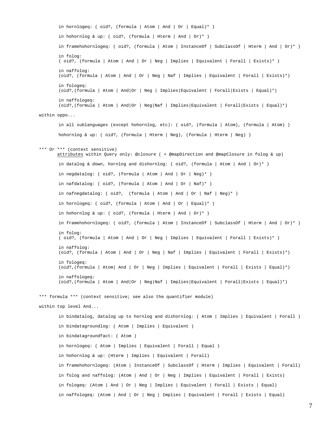in hornlogeq: ( oid?, (formula | Atom | And | Or | Equal)\* ) in hohornlog & up: ( oid?, (formula | Hterm | And | Or)\* ) in framehohornlogeq: ( oid?, (formula | Atom | InstanceOf | SubclassOf | Hterm | And | Or)\* ) in folog: ( oid?, (formula | Atom | And | Or | Neg | Implies | Equivalent | Forall | Exists)\* ) in naffolog: (oid?, (formula | Atom | And | Or | Neg | Naf | Implies | Equivalent | Forall | Exists)\*) in fologeq: (oid?,(formula | Atom | And|Or | Neg | Implies|Equivalent | Forall|Exists | Equal)\*) in naffologeq: (oid?,(formula | Atom | And|Or | Neg|Naf | Implies|Equivalent | Forall|Exists | Equal)\*) within oppo... in all sublanguages (except hohornlog, etc): ( oid?, (formula | Atom), (formula | Atom) ) hohornlog & up: ( oid?, (formula | Hterm | Neg), (formula | Hterm | Neg) ) \*\*\* Or \*\*\* (context sensitive) attributes within Query only: @closure ( + @mapDirection and @mapClosure in folog & up) in datalog & down, hornlog and dishornlog: ( oid?, (formula | Atom | And | Or)\* ) in negdatalog: ( oid?, (formula | Atom | And | Or | Neg)\* ) in nafdatalog: ( oid?, (formula | Atom | And | Or | Naf)\* ) in nafnegdatalog: ( oid?, (formula | Atom | And | Or | Naf | Neg)\* ) in hornlogeq: ( oid?, (formula | Atom | And | Or | Equal)\* ) in hohornlog & up: ( oid?, (formula | Hterm | And | Or)\* ) in framehohornlogeq: ( oid?, (formula | Atom | InstanceOf | SubclassOf | Hterm | And | Or)\* ) in folog: ( oid?, (formula | Atom | And | Or | Neg | Implies | Equivalent | Forall | Exists)\* ) in naffolog: (oid?, (formula | Atom | And | Or | Neg | Naf | Implies | Equivalent | Forall | Exists)\*) in fologeq: (oid?,(formula | Atom| And | Or | Neg | Implies | Equivalent | Forall | Exists | Equal)\*) in naffologeq: (oid?,(formula | Atom | And|Or | Neg|Naf | Implies|Equivalent | Forall|Exists | Equal)\*) \*\*\* formula \*\*\* (context sensitive; see also the quantifier module) within top level And... in bindatalog, datalog up to hornlog and dishornlog: ( Atom | Implies | Equivalent | Forall ) in bindatagroundlog: ( Atom | Implies | Equivalent ) in bindatagroundfact: ( Atom ) in hornlogeq: ( Atom | Implies | Equivalent | Forall | Equal ) in hohornlog & up: (Hterm | Implies | Equivalent | Forall) in framehohornlogeq: (Atom | InstanceOf | SubclassOf | Hterm | Implies | Equivalent | Forall) in folog and naffolog: (Atom | And | Or | Neg | Implies | Equivalent | Forall | Exists) in fologeq: (Atom | And | Or | Neg | Implies | Equivalent | Forall | Exists | Equal) in naffologeq: (Atom | And | Or | Neg | Implies | Equivalent | Forall | Exists | Equal)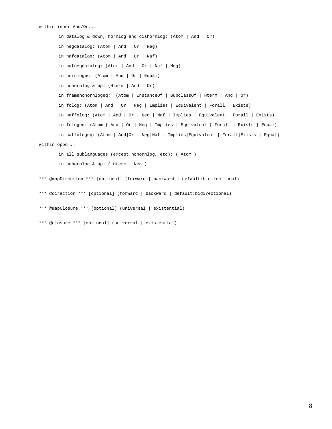```
within inner And/Or...
```
 in datalog & down, hornlog and dishornlog: (Atom | And | Or) in negdatalog: (Atom | And | Or | Neg) in nafdatalog: (Atom | And | Or | Naf) in nafnegdatalog: (Atom | And | Or | Naf | Neg) in hornlogeq: (Atom | And | Or | Equal) in hohornlog & up: (Hterm | And | Or) in framehohornlogeq: (Atom | InstanceOf | SubclassOf | Hterm | And | Or) in folog: (Atom | And | Or | Neg | Implies | Equivalent | Forall | Exists) in naffolog: (Atom | And | Or | Neg | Naf | Implies | Equivalent | Forall | Exists) in fologeq: (Atom | And | Or | Neg | Implies | Equivalent | Forall | Exists | Equal) in naffologeq: (Atom | And|Or | Neg|Naf | Implies|Equivalent | Forall|Exists | Equal) within oppo... in all sublanguages (except hohornlog, etc): ( Atom ) in hohornlog & up: ( Hterm | Neg )

 \*\*\* @mapDirection \*\*\* [optional] (forward | backward | default:bidirectional) \*\*\* @direction \*\*\* [optional] (forward | backward | default:bidirectional)

\*\*\* @mapClosure \*\*\* [optional] (universal | existential)

\*\*\* @closure \*\*\* [optional] (universal | existential)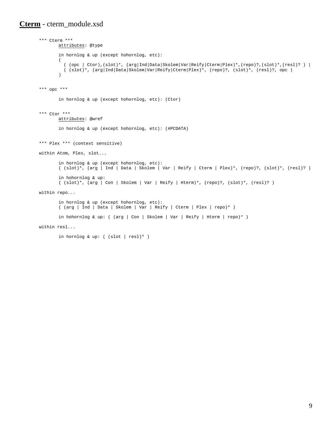#### <span id="page-8-0"></span>**Cterm** - cterm\_module.xsd

```
 *** Cterm *** 
                 attributes: @type 
                   in hornlog & up (except hohornlog, etc): 
\sim (b) and (b) and (b) and (b) and (b) and (b) and (b) and (b) and (b) and (b) and (b) and (b) and (b) and (b) and (b) and (b) and (b) and (b) and (b) and (b) and (b) and (b) and (b) and (b) and (b) and (b) and (b) and 
                     ( (opc | Ctor),(slot)*, (arg|Ind|Data|Skolem|Var|Reify|Cterm|Plex)*,(repo)?,(slot)*,(resl)? ) | 
                   ( (slot)*, (arg|Ind|Data|Skolem|Var|Reify|Cterm|Plex)*, (repo)?, (slot)*, (resl)?, opc ) 
 ) 
         *** opc *** 
                   in hornlog & up (except hohornlog, etc): (Ctor) 
         *** Ctor *** 
                 attributes: @wref 
                   in hornlog & up (except hohornlog, etc): (#PCDATA) 
         *** Plex *** (context sensitive) 
         within Atom, Plex, slot... 
                  in hornlog & up (except hohornlog, etc): 
                  ( (slot)*, (arg | Ind | Data | Skolem | Var | Reify | Cterm | Plex)*, (repo)?, (slot)*, (resl)? ) 
                  in hohornlog & up: 
                  ( (slot)*, (arg | Con | Skolem | Var | Reify | Hterm)*, (repo)?, (slot)*, (resl)? ) 
        within repo... 
                  in hornlog & up (except hohornlog, etc): 
                  ( (arg | Ind | Data | Skolem | Var | Reify | Cterm | Plex | repo)* ) 
                  in hohornlog & up: ( (arg | Con | Skolem | Var | Reify | Hterm | repo)* ) 
        within resl...
```
in hornlog & up: ( (slot | resl)\* )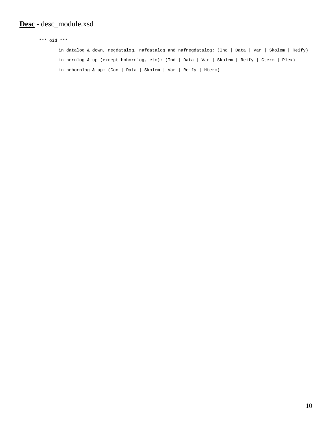#### <span id="page-9-0"></span>**Desc** - desc\_module.xsd

 \*\*\* oid \*\*\* in datalog & down, negdatalog, nafdatalog and nafnegdatalog: (Ind | Data | Var | Skolem | Reify) in hornlog & up (except hohornlog, etc): (Ind | Data | Var | Skolem | Reify | Cterm | Plex) in hohornlog & up: (Con | Data | Skolem | Var | Reify | Hterm)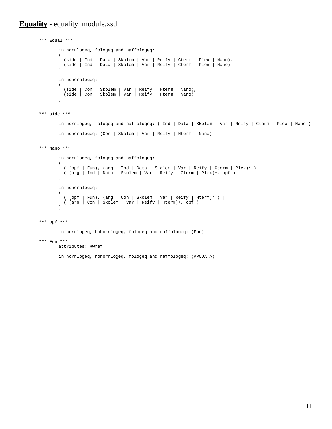#### <span id="page-10-0"></span>**Equality** - equality\_module.xsd

```
 *** Equal *** 
         in hornlogeq, fologeq and naffologeq: 
        ( 
         (side | Ind | Data | Skolem | Var | Reify | Cterm | Plex | Nano), 
         (side | Ind | Data | Skolem | Var | Reify | Cterm | Plex | Nano) 
        \lambdain hohornlogeq: 
        ( 
         (side | Con | Skolem | Var | Reify | Hterm | Nano), 
         (side | Con | Skolem | Var | Reify | Hterm | Nano) 
        \lambda *** side *** 
         in hornlogeq, fologeq and naffologeq: ( Ind | Data | Skolem | Var | Reify | Cterm | Plex | Nano ) 
         in hohornlogeq: (Con | Skolem | Var | Reify | Hterm | Nano) 
 *** Nano *** 
         in hornlogeq, fologeq and naffologeq: 
        \left( ( (opf | Fun), (arg | Ind | Data | Skolem | Var | Reify | Cterm | Plex)* ) | 
          ( (arg | Ind | Data | Skolem | Var | Reify | Cterm | Plex)+, opf ) 
        \lambda in hohornlogeq: 
        ( 
         ( (opf | Fun), (arg | Con | Skolem | Var | Reify | Hterm)* ) | 
         ( (arg | Con | Skolem | Var | Reify | Hterm)+, opf ) 
        \lambda
```

```
 *** opf ***
```
in hornlogeq, hohornlogeq, fologeq and naffologeq: (Fun)

\*\*\* Fun \*\*\*

attributes: @wref

in hornlogeq, hohornlogeq, fologeq and naffologeq: (#PCDATA)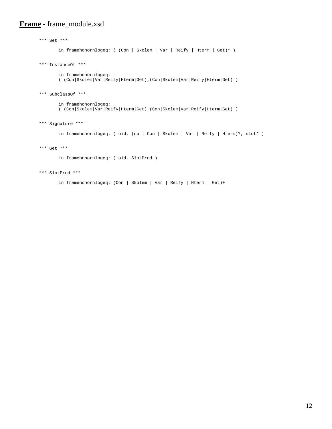#### <span id="page-11-0"></span>**Frame** - frame\_module.xsd

```
 *** Set *** 
         in framehohornlogeq: ( (Con | Skolem | Var | Reify | Hterm | Get)* ) 
 *** InstanceOf *** 
        in framehohornlogeq: 
        ( (Con|Skolem|Var|Reify|Hterm|Get),(Con|Skolem|Var|Reify|Hterm|Get) ) 
 *** SubclassOf *** 
         in framehohornlogeq: 
        ( (Con|Skolem|Var|Reify|Hterm|Get),(Con|Skolem|Var|Reify|Hterm|Get) ) 
 *** Signature *** 
         in framehohornlogeq: ( oid, (op | Con | Skolem | Var | Reify | Hterm)?, slot* ) 
 *** Get *** 
         in framehohornlogeq: ( oid, SlotProd )
```
\*\*\* SlotProd \*\*\*

in framehohornlogeq: (Con | Skolem | Var | Reify | Hterm | Get)+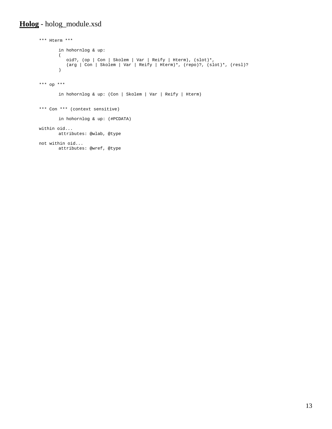#### <span id="page-12-0"></span>**Holog** - holog\_module.xsd

```
 *** Hterm *** 
        in hohornlog & up: 
        \left( oid?, (op | Con | Skolem | Var | Reify | Hterm), (slot)*, 
         (arg | Con | Skolem | Var | Reify | Hterm)*, (repo)?, (slot)*, (resl)? 
        \lambda *** op *** 
         in hohornlog & up: (Con | Skolem | Var | Reify | Hterm) 
 *** Con *** (context sensitive) 
        in hohornlog & up: (#PCDATA) 
 within oid... 
        attributes: @wlab, @type 
 not within oid... 
        attributes: @wref, @type
```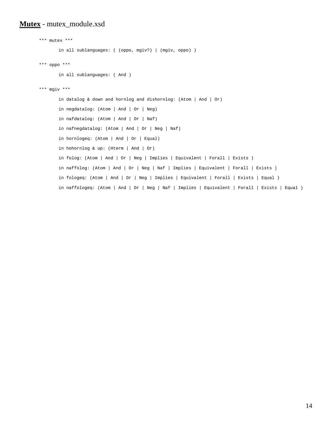#### <span id="page-13-0"></span>**Mutex** - mutex\_module.xsd

```
 *** mutex *** 
        in all sublanguages: ( (oppo, mgiv?) | (mgiv, oppo) ) 
 *** oppo *** 
        in all sublanguages: ( And ) 
 *** mgiv *** 
        in datalog & down and hornlog and dishornlog: (Atom | And | Or) 
       in negdatalog: (Atom | And | Or | Neg) 
       in nafdatalog: (Atom | And | Or | Naf) 
       in nafnegdatalog: (Atom | And | Or | Neg | Naf) 
       in hornlogeq: (Atom | And | Or | Equal) 
       in hohornlog & up: (Hterm | And | Or) 
       in folog: (Atom | And | Or | Neg | Implies | Equivalent | Forall | Exists ) 
       in naffolog: (Atom | And | Or | Neg | Naf | Implies | Equivalent | Forall | Exists ) 
       in fologeq: (Atom | And | Or | Neg | Implies | Equivalent | Forall | Exists | Equal ) 
       in naffologeq: (Atom | And | Or | Neg | Naf | Implies | Equivalent | Forall | Exists | Equal )
```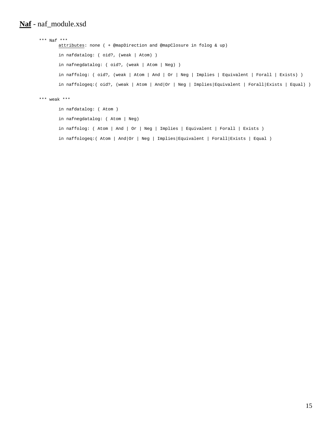#### <span id="page-14-0"></span>**Naf** - naf\_module.xsd

```
 *** Naf *** 
        attributes: none ( + @mapDirection and @mapClosure in folog & up) 
         in nafdatalog: ( oid?, (weak | Atom) ) 
         in nafnegdatalog: ( oid?, (weak | Atom | Neg) ) 
         in naffolog: ( oid?, (weak | Atom | And | Or | Neg | Implies | Equivalent | Forall | Exists) ) 
         in naffologeq:( oid?, (weak | Atom | And|Or | Neg | Implies|Equivalent | Forall|Exists | Equal) ) 
 *** weak *** 
        in nafdatalog: ( Atom ) 
        in nafnegdatalog: ( Atom | Neg) 
         in naffolog: ( Atom | And | Or | Neg | Implies | Equivalent | Forall | Exists ) 
         in naffologeq:( Atom | And|Or | Neg | Implies|Equivalent | Forall|Exists | Equal )
```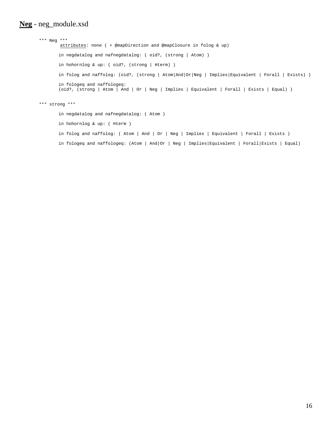#### <span id="page-15-0"></span>**Neg** - neg\_module.xsd

```
 *** Neg *** 
         attributes: none ( + @mapDirection and @mapClosure in folog & up) 
         in negdatalog and nafnegdatalog: ( oid?, (strong | Atom) ) 
         in hohornlog & up: ( oid?, (strong | Hterm) ) 
         in folog and naffolog: (oid?, (strong | Atom|And|Or|Neg | Implies|Equivalent | Forall | Exists) ) 
         in fologeq and naffologeq: 
        (oid?, (strong | Atom | And | Or | Neg | Implies | Equivalent | Forall | Exists | Equal) ) 
 *** strong *** 
         in negdatalog and nafnegdatalog: ( Atom ) 
         in hohornlog & up: ( Hterm ) 
         in folog and naffolog: ( Atom | And | Or | Neg | Implies | Equivalent | Forall | Exists )
```
in fologeq and naffologeq: (Atom | And|Or | Neg | Implies|Equivalent | Forall|Exists | Equal)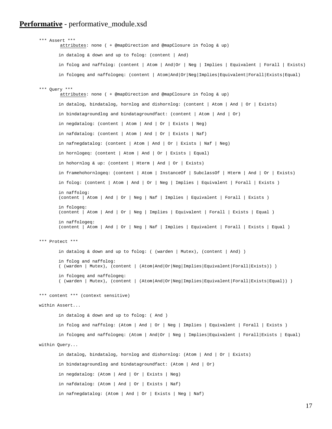#### <span id="page-16-0"></span>**Performative** - performative\_module.xsd

```
 *** Assert *** 
         attributes: none ( + @mapDirection and @mapClosure in folog & up) 
        in datalog & down and up to folog: (content | And) 
        in folog and naffolog: (content | Atom | And|Or | Neg | Implies | Equivalent | Forall | Exists) 
        in fologeq and naffologeq: (content | Atom|And|Or|Neg|Implies|Equivalent|Forall|Exists|Equal) 
 *** Query *** 
         attributes: none ( + @mapDirection and @mapClosure in folog & up) 
        in datalog, bindatalog, hornlog and dishornlog: (content | Atom | And | Or | Exists) 
        in bindatagroundlog and bindatagroundfact: (content | Atom | And | Or) 
        in negdatalog: (content | Atom | And | Or | Exists | Neg) 
        in nafdatalog: (content | Atom | And | Or | Exists | Naf) 
        in nafnegdatalog: (content | Atom | And | Or | Exists | Naf | Neg) 
        in hornlogeq: (content | Atom | And | Or | Exists | Equal) 
        in hohornlog & up: (content | Hterm | And | Or | Exists) 
        in framehohornlogeq: (content | Atom | InstanceOf | SubclassOf | Hterm | And | Or | Exists) 
       in folog: (content | Atom | And | Or | Neg | Implies | Equivalent | Forall | Exists ) 
       in naffolog: 
       (content | Atom | And | Or | Neg | Naf | Implies | Equivalent | Forall | Exists ) 
       in fologeq: 
       (content | Atom | And | Or | Neg | Implies | Equivalent | Forall | Exists | Equal ) 
       in naffologeq: 
       (content | Atom | And | Or | Neg | Naf | Implies | Equivalent | Forall | Exists | Equal ) 
 *** Protect *** 
        in datalog & down and up to folog: ( (warden | Mutex), (content | And) ) 
       in folog and naffolog: 
       ( (warden | Mutex), (content | (Atom|And|Or|Neg|Implies|Equivalent|Forall|Exists)) ) 
       in fologeq and naffologeq: 
       ( (warden | Mutex), (content | (Atom|And|Or|Neg|Implies|Equivalent|Forall|Exists|Equal)) ) 
 *** content *** (context sensitive) 
 within Assert... 
        in datalog & down and up to folog: ( And ) 
       in folog and naffolog: (Atom | And | Or | Neg | Implies | Equivalent | Forall | Exists ) 
       in fologeq and naffologeq: (Atom | And|Or | Neg | Implies|Equivalent | Forall|Exists | Equal) 
 within Query... 
        in datalog, bindatalog, hornlog and dishornlog: (Atom | And | Or | Exists) 
        in bindatagroundlog and bindatagroundfact: (Atom | And | Or) 
        in negdatalog: (Atom | And | Or | Exists | Neg) 
        in nafdatalog: (Atom | And | Or | Exists | Naf) 
        in nafnegdatalog: (Atom | And | Or | Exists | Neg | Naf)
```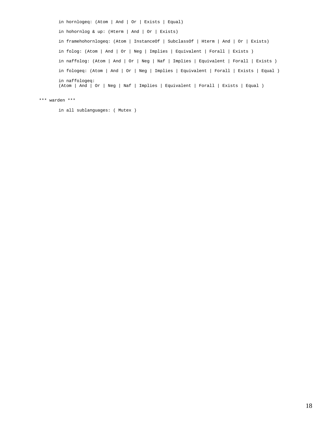in hornlogeq: (Atom | And | Or | Exists | Equal) in hohornlog & up: (Hterm | And | Or | Exists) in framehohornlogeq: (Atom | InstanceOf | SubclassOf | Hterm | And | Or | Exists) in folog: (Atom | And | Or | Neg | Implies | Equivalent | Forall | Exists ) in naffolog: (Atom | And | Or | Neg | Naf | Implies | Equivalent | Forall | Exists ) in fologeq: (Atom | And | Or | Neg | Implies | Equivalent | Forall | Exists | Equal ) in naffologeq: (Atom | And | Or | Neg | Naf | Implies | Equivalent | Forall | Exists | Equal )

\*\*\* warden \*\*\*

in all sublanguages: ( Mutex )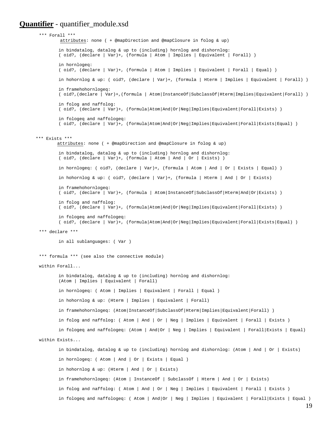#### <span id="page-18-0"></span>**Quantifier** - quantifier module.xsd

```
 *** Forall *** 
          attributes: none ( + @mapDirection and @mapClosure in folog & up) 
          in bindatalog, datalog & up to (including) hornlog and dishornlog: 
         ( oid?, (declare | Var)+, (formula | Atom | Implies | Equivalent | Forall) ) 
         in hornlogeq: 
         ( oid?, (declare | Var)+, (formula | Atom | Implies | Equivalent | Forall | Equal) ) 
         in hohornlog & up: ( oid?, (declare | Var)+, (formula | Hterm | Implies | Equivalent | Forall) ) 
         in framehohornlogeq: 
        ( oid?,(declare | Var)+,(formula | Atom|InstanceOf|SubclassOf|Hterm|Implies|Equivalent|Forall) ) 
         in folog and naffolog: 
         ( oid?, (declare | Var)+, (formula|Atom|And|Or|Neg|Implies|Equivalent|Forall|Exists) ) 
         in fologeq and naffologeq: 
         ( oid?, (declare | Var)+, (formula|Atom|And|Or|Neg|Implies|Equivalent|Forall|Exists|Equal) ) 
 *** Exists *** 
         attributes: none ( + @mapDirection and @mapClosure in folog & up) 
          in bindatalog, datalog & up to (including) hornlog and dishornlog: 
         ( oid?, (declare | Var)+, (formula | Atom | And | Or | Exists) ) 
          in hornlogeq: ( oid?, (declare | Var)+, (formula | Atom | And | Or | Exists | Equal) ) 
          in hohornlog & up: ( oid?, (declare | Var)+, (formula | Hterm | And | Or | Exists) 
         in framehohornlogeq: 
          ( oid?, (declare | Var)+, (formula | Atom|InstanceOf|SubclassOf|Hterm|And|Or|Exists) ) 
          in folog and naffolog: 
         ( oid?, (declare | Var)+, (formula|Atom|And|Or|Neg|Implies|Equivalent|Forall|Exists) ) 
          in fologeq and naffologeq: 
         ( oid?, (declare | Var)+, (formula|Atom|And|Or|Neg|Implies|Equivalent|Forall|Exists|Equal) ) 
  *** declare *** 
          in all sublanguages: ( Var ) 
  *** formula *** (see also the connective module) 
  within Forall... 
          in bindatalog, datalog & up to (including) hornlog and dishornlog: 
         (Atom | Implies | Equivalent | Forall) 
          in hornlogeq: ( Atom | Implies | Equivalent | Forall | Equal ) 
          in hohornlog & up: (Hterm | Implies | Equivalent | Forall) 
          in framehohornlogeq: (Atom|InstanceOf|SubclassOf|Hterm|Implies|Equivalent|Forall) ) 
         in folog and naffolog: ( Atom | And | Or | Neg | Implies | Equivalent | Forall | Exists ) 
         in fologeq and naffologeq: (Atom | And|Or | Neg | Implies | Equivalent | Forall|Exists | Equal) 
  within Exists... 
          in bindatalog, datalog & up to (including) hornlog and dishornlog: (Atom | And | Or | Exists) 
          in hornlogeq: ( Atom | And | Or | Exists | Equal ) 
          in hohornlog & up: (Hterm | And | Or | Exists) 
          in framehohornlogeq: (Atom | InstanceOf | SubclassOf | Hterm | And | Or | Exists) 
         in folog and naffolog: ( Atom | And | Or | Neg | Implies | Equivalent | Forall | Exists ) 
          in fologeq and naffologeq: ( Atom | And|Or | Neg | Implies | Equivalent | Forall|Exists | Equal )
```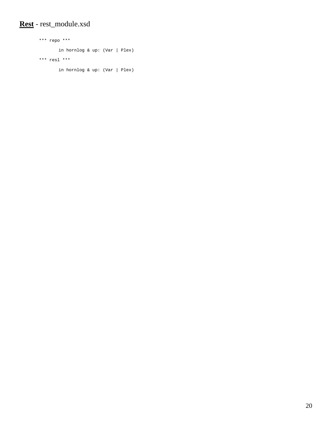### <span id="page-19-0"></span>**Rest** - rest\_module.xsd

```
 *** repo *** 
        in hornlog & up: (Var | Plex) 
 *** resl *** 
        in hornlog & up: (Var | Plex)
```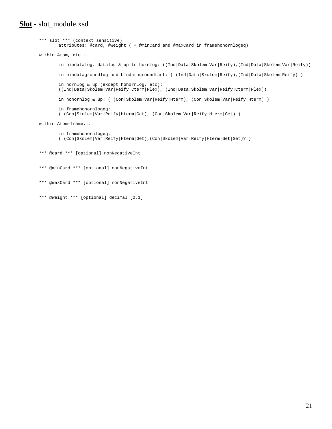#### <span id="page-20-0"></span>**Slot** - slot\_module.xsd

```
 *** slot *** (context sensitive) 
        attributes: @card, @weight ( + @minCard and @maxCard in framehohornlogeq) 
within Atom, etc... 
         in bindatalog, datalog & up to hornlog: ((Ind|Data|Skolem|Var|Reify),(Ind|Data|Skolem|Var|Reify)) 
        in bindatagroundlog and bindatagroundfact: ( (Ind | Data | Skolem | Reify), (Ind | Data | Skolem | Reify) )
        in hornlog & up (except hohornlog, etc): 
        ((Ind|Data|Skolem|Var|Reify|Cterm|Plex), (Ind|Data|Skolem|Var|Reify|Cterm|Plex)) 
        in hohornlog & up: ( (Con|Skolem|Var|Reify|Hterm), (Con|Skolem|Var|Reify|Hterm) ) 
        in framehohornlogeq: 
        ( (Con|Skolem|Var|Reify|Hterm|Get), (Con|Skolem|Var|Reify|Hterm|Get) ) 
within Atom-frame... 
        in framehohornlogeq: 
        ( (Con|Skolem|Var|Reify|Hterm|Get),(Con|Skolem|Var|Reify|Hterm|Get|Set)? ) 
 *** @card *** [optional] nonNegativeInt 
 *** @minCard *** [optional] nonNegativeInt
```

```
 *** @maxCard *** [optional] nonNegativeInt
```

```
 *** @weight *** [optional] decimal [0,1]
```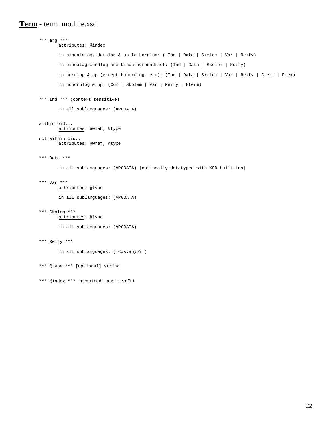#### <span id="page-21-0"></span>**Term** - term\_module.xsd

```
 *** arg *** 
        attributes: @index 
         in bindatalog, datalog & up to hornlog: ( Ind | Data | Skolem | Var | Reify) 
        in bindatagroundlog and bindatagroundfact: (Ind | Data | Skolem | Reify) 
        in hornlog & up (except hohornlog, etc): (Ind | Data | Skolem | Var | Reify | Cterm | Plex) 
        in hohornlog & up: (Con | Skolem | Var | Reify | Hterm) 
 *** Ind *** (context sensitive) 
        in all sublanguages: (#PCDATA) 
 within oid... 
        attributes: @wlab, @type 
 not within oid... 
        attributes: @wref, @type 
 *** Data *** 
         in all sublanguages: (#PCDATA) [optionally datatyped with XSD built-ins] 
 *** Var *** 
        attributes: @type 
         in all sublanguages: (#PCDATA) 
 *** Skolem *** 
        attributes: @type 
         in all sublanguages: (#PCDATA) 
 *** Reify *** 
         in all sublanguages: ( <xs:any>? ) 
 *** @type *** [optional] string 
 *** @index *** [required] positiveInt
```